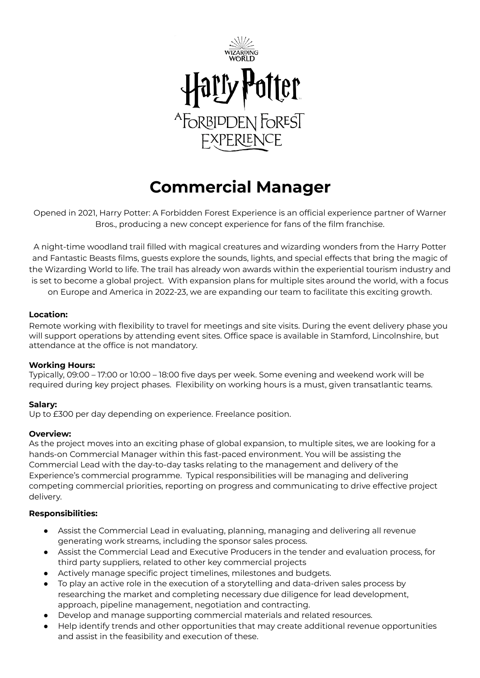

# **Commercial Manager**

Opened in 2021, Harry Potter: A Forbidden Forest Experience is an official experience partner of Warner Bros., producing a new concept experience for fans of the film franchise.

A night-time woodland trail filled with magical creatures and wizarding wonders from the Harry Potter and Fantastic Beasts films, guests explore the sounds, lights, and special effects that bring the magic of the Wizarding World to life. The trail has already won awards within the experiential tourism industry and is set to become a global project. With expansion plans for multiple sites around the world, with a focus on Europe and America in 2022-23, we are expanding our team to facilitate this exciting growth.

# **Location:**

Remote working with flexibility to travel for meetings and site visits. During the event delivery phase you will support operations by attending event sites. Office space is available in Stamford, Lincolnshire, but attendance at the office is not mandatory.

### **Working Hours:**

Typically, 09:00 – 17:00 or 10:00 – 18:00 five days per week. Some evening and weekend work will be required during key project phases. Flexibility on working hours is a must, given transatlantic teams.

# **Salary:**

Up to £300 per day depending on experience. Freelance position.

### **Overview:**

As the project moves into an exciting phase of global expansion, to multiple sites, we are looking for a hands-on Commercial Manager within this fast-paced environment. You will be assisting the Commercial Lead with the day-to-day tasks relating to the management and delivery of the Experience's commercial programme. Typical responsibilities will be managing and delivering competing commercial priorities, reporting on progress and communicating to drive effective project delivery.

# **Responsibilities:**

- Assist the Commercial Lead in evaluating, planning, managing and delivering all revenue generating work streams, including the sponsor sales process.
- Assist the Commercial Lead and Executive Producers in the tender and evaluation process, for third party suppliers, related to other key commercial projects
- Actively manage specific project timelines, milestones and budgets.
- To play an active role in the execution of a storytelling and data-driven sales process by researching the market and completing necessary due diligence for lead development, approach, pipeline management, negotiation and contracting.
- Develop and manage supporting commercial materials and related resources.
- Help identify trends and other opportunities that may create additional revenue opportunities and assist in the feasibility and execution of these.